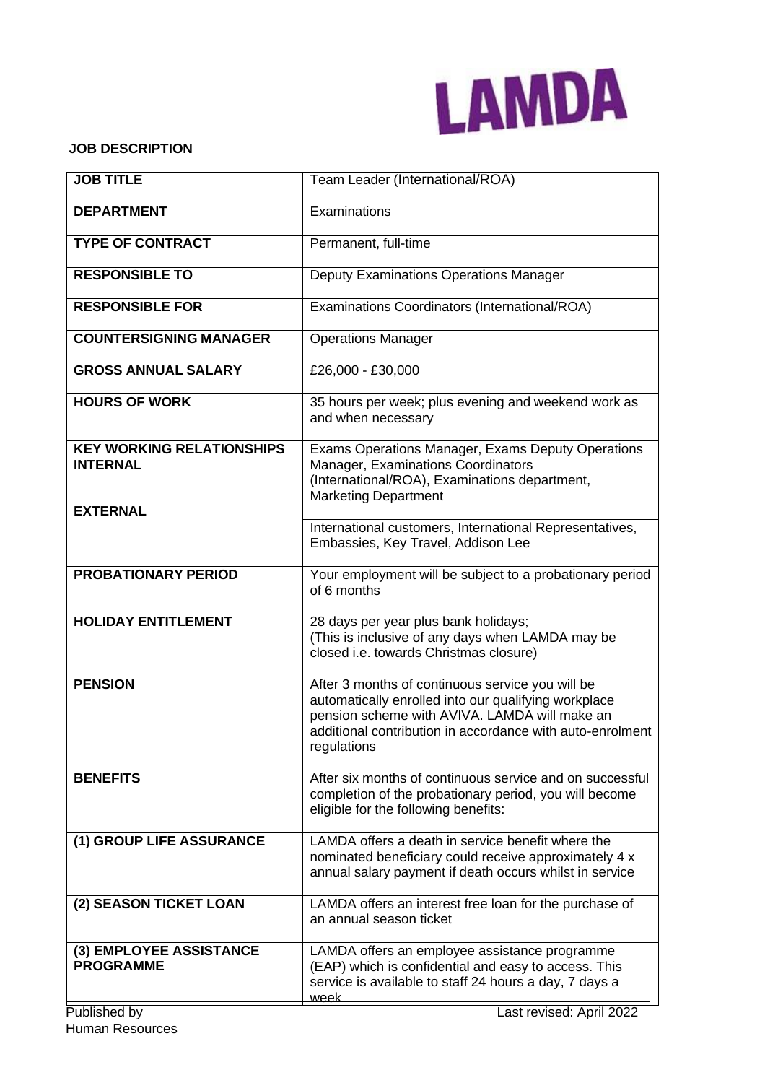

### **JOB DESCRIPTION**

| <b>JOB TITLE</b>                                    | Team Leader (International/ROA)                                                                                                                                                                                                       |  |  |
|-----------------------------------------------------|---------------------------------------------------------------------------------------------------------------------------------------------------------------------------------------------------------------------------------------|--|--|
| <b>DEPARTMENT</b>                                   | Examinations                                                                                                                                                                                                                          |  |  |
| <b>TYPE OF CONTRACT</b>                             | Permanent, full-time                                                                                                                                                                                                                  |  |  |
| <b>RESPONSIBLE TO</b>                               | Deputy Examinations Operations Manager                                                                                                                                                                                                |  |  |
| <b>RESPONSIBLE FOR</b>                              | Examinations Coordinators (International/ROA)                                                                                                                                                                                         |  |  |
| <b>COUNTERSIGNING MANAGER</b>                       | <b>Operations Manager</b>                                                                                                                                                                                                             |  |  |
| <b>GROSS ANNUAL SALARY</b>                          | £26,000 - £30,000                                                                                                                                                                                                                     |  |  |
| <b>HOURS OF WORK</b>                                | 35 hours per week; plus evening and weekend work as<br>and when necessary                                                                                                                                                             |  |  |
| <b>KEY WORKING RELATIONSHIPS</b><br><b>INTERNAL</b> | Exams Operations Manager, Exams Deputy Operations<br>Manager, Examinations Coordinators<br>(International/ROA), Examinations department,<br><b>Marketing Department</b>                                                               |  |  |
| <b>EXTERNAL</b>                                     | International customers, International Representatives,<br>Embassies, Key Travel, Addison Lee                                                                                                                                         |  |  |
| <b>PROBATIONARY PERIOD</b>                          | Your employment will be subject to a probationary period<br>of 6 months                                                                                                                                                               |  |  |
| <b>HOLIDAY ENTITLEMENT</b>                          | 28 days per year plus bank holidays;<br>(This is inclusive of any days when LAMDA may be<br>closed i.e. towards Christmas closure)                                                                                                    |  |  |
| <b>PENSION</b>                                      | After 3 months of continuous service you will be<br>automatically enrolled into our qualifying workplace<br>pension scheme with AVIVA. LAMDA will make an<br>additional contribution in accordance with auto-enrolment<br>regulations |  |  |
| <b>BENEFITS</b>                                     | After six months of continuous service and on successful<br>completion of the probationary period, you will become<br>eligible for the following benefits:                                                                            |  |  |
| (1) GROUP LIFE ASSURANCE                            | LAMDA offers a death in service benefit where the<br>nominated beneficiary could receive approximately 4 x<br>annual salary payment if death occurs whilst in service                                                                 |  |  |
| (2) SEASON TICKET LOAN                              | LAMDA offers an interest free loan for the purchase of<br>an annual season ticket                                                                                                                                                     |  |  |
| (3) EMPLOYEE ASSISTANCE<br><b>PROGRAMME</b>         | LAMDA offers an employee assistance programme<br>(EAP) which is confidential and easy to access. This<br>service is available to staff 24 hours a day, 7 days a<br>week                                                               |  |  |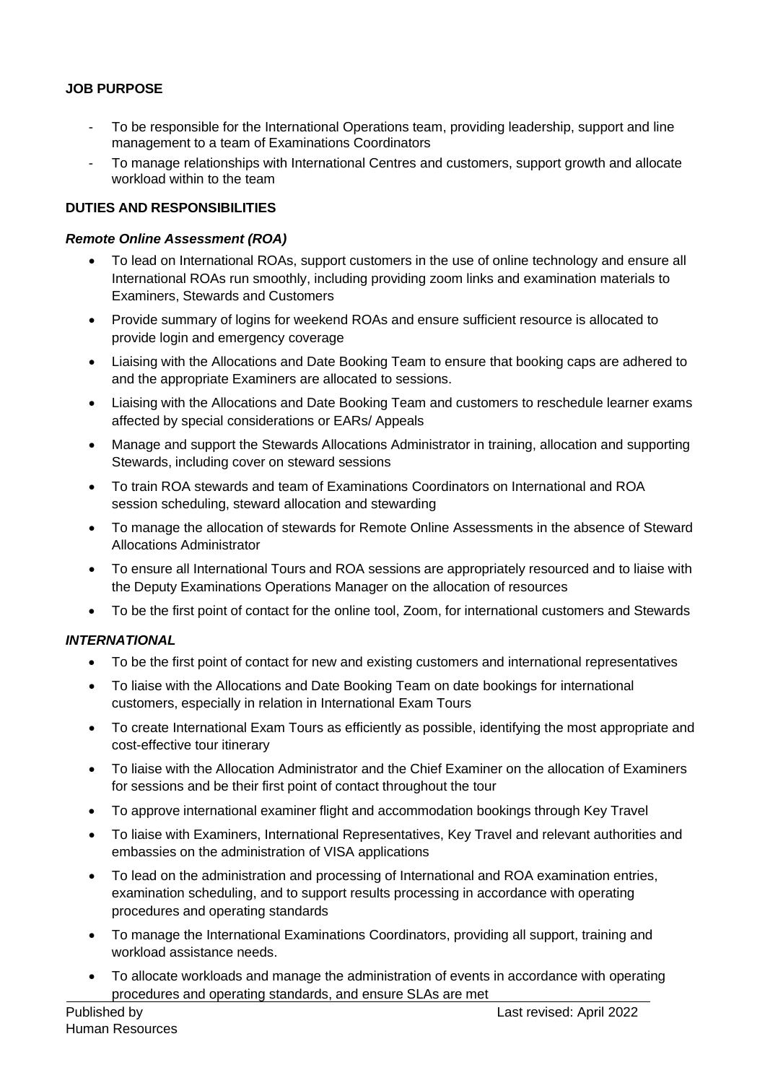# **JOB PURPOSE**

- To be responsible for the International Operations team, providing leadership, support and line management to a team of Examinations Coordinators
- To manage relationships with International Centres and customers, support growth and allocate workload within to the team

### **DUTIES AND RESPONSIBILITIES**

#### *Remote Online Assessment (ROA)*

- To lead on International ROAs, support customers in the use of online technology and ensure all International ROAs run smoothly, including providing zoom links and examination materials to Examiners, Stewards and Customers
- Provide summary of logins for weekend ROAs and ensure sufficient resource is allocated to provide login and emergency coverage
- Liaising with the Allocations and Date Booking Team to ensure that booking caps are adhered to and the appropriate Examiners are allocated to sessions.
- Liaising with the Allocations and Date Booking Team and customers to reschedule learner exams affected by special considerations or EARs/ Appeals
- Manage and support the Stewards Allocations Administrator in training, allocation and supporting Stewards, including cover on steward sessions
- To train ROA stewards and team of Examinations Coordinators on International and ROA session scheduling, steward allocation and stewarding
- To manage the allocation of stewards for Remote Online Assessments in the absence of Steward Allocations Administrator
- To ensure all International Tours and ROA sessions are appropriately resourced and to liaise with the Deputy Examinations Operations Manager on the allocation of resources
- To be the first point of contact for the online tool, Zoom, for international customers and Stewards

## *INTERNATIONAL*

- To be the first point of contact for new and existing customers and international representatives
- To liaise with the Allocations and Date Booking Team on date bookings for international customers, especially in relation in International Exam Tours
- To create International Exam Tours as efficiently as possible, identifying the most appropriate and cost-effective tour itinerary
- To liaise with the Allocation Administrator and the Chief Examiner on the allocation of Examiners for sessions and be their first point of contact throughout the tour
- To approve international examiner flight and accommodation bookings through Key Travel
- To liaise with Examiners, International Representatives, Key Travel and relevant authorities and embassies on the administration of VISA applications
- To lead on the administration and processing of International and ROA examination entries, examination scheduling, and to support results processing in accordance with operating procedures and operating standards
- To manage the International Examinations Coordinators, providing all support, training and workload assistance needs.
- To allocate workloads and manage the administration of events in accordance with operating procedures and operating standards, and ensure SLAs are met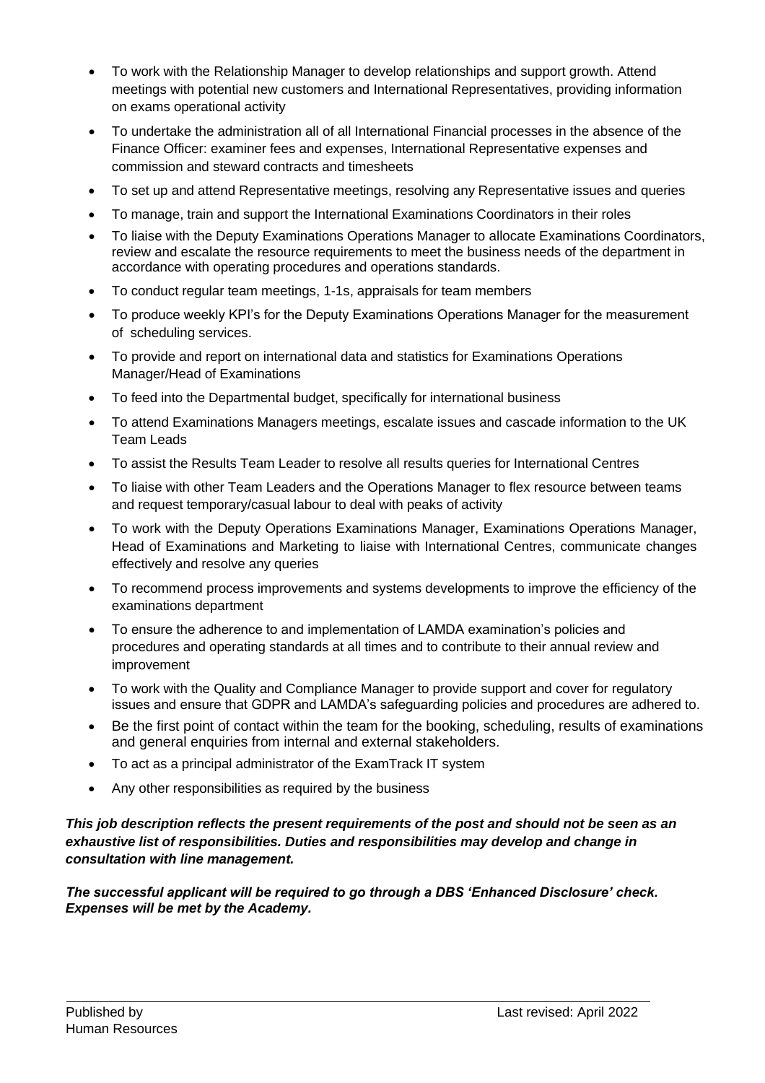- To work with the Relationship Manager to develop relationships and support growth. Attend meetings with potential new customers and International Representatives, providing information on exams operational activity
- To undertake the administration all of all International Financial processes in the absence of the Finance Officer: examiner fees and expenses, International Representative expenses and commission and steward contracts and timesheets
- To set up and attend Representative meetings, resolving any Representative issues and queries
- To manage, train and support the International Examinations Coordinators in their roles
- To liaise with the Deputy Examinations Operations Manager to allocate Examinations Coordinators, review and escalate the resource requirements to meet the business needs of the department in accordance with operating procedures and operations standards.
- To conduct regular team meetings, 1-1s, appraisals for team members
- To produce weekly KPI's for the Deputy Examinations Operations Manager for the measurement of scheduling services.
- To provide and report on international data and statistics for Examinations Operations Manager/Head of Examinations
- To feed into the Departmental budget, specifically for international business
- To attend Examinations Managers meetings, escalate issues and cascade information to the UK Team Leads
- To assist the Results Team Leader to resolve all results queries for International Centres
- To liaise with other Team Leaders and the Operations Manager to flex resource between teams and request temporary/casual labour to deal with peaks of activity
- To work with the Deputy Operations Examinations Manager, Examinations Operations Manager, Head of Examinations and Marketing to liaise with International Centres, communicate changes effectively and resolve any queries
- To recommend process improvements and systems developments to improve the efficiency of the examinations department
- To ensure the adherence to and implementation of LAMDA examination's policies and procedures and operating standards at all times and to contribute to their annual review and improvement
- To work with the Quality and Compliance Manager to provide support and cover for regulatory issues and ensure that GDPR and LAMDA's safeguarding policies and procedures are adhered to.
- Be the first point of contact within the team for the booking, scheduling, results of examinations and general enquiries from internal and external stakeholders.
- To act as a principal administrator of the ExamTrack IT system
- Any other responsibilities as required by the business

# *This job description reflects the present requirements of the post and should not be seen as an exhaustive list of responsibilities. Duties and responsibilities may develop and change in consultation with line management.*

*The successful applicant will be required to go through a DBS 'Enhanced Disclosure' check. Expenses will be met by the Academy.*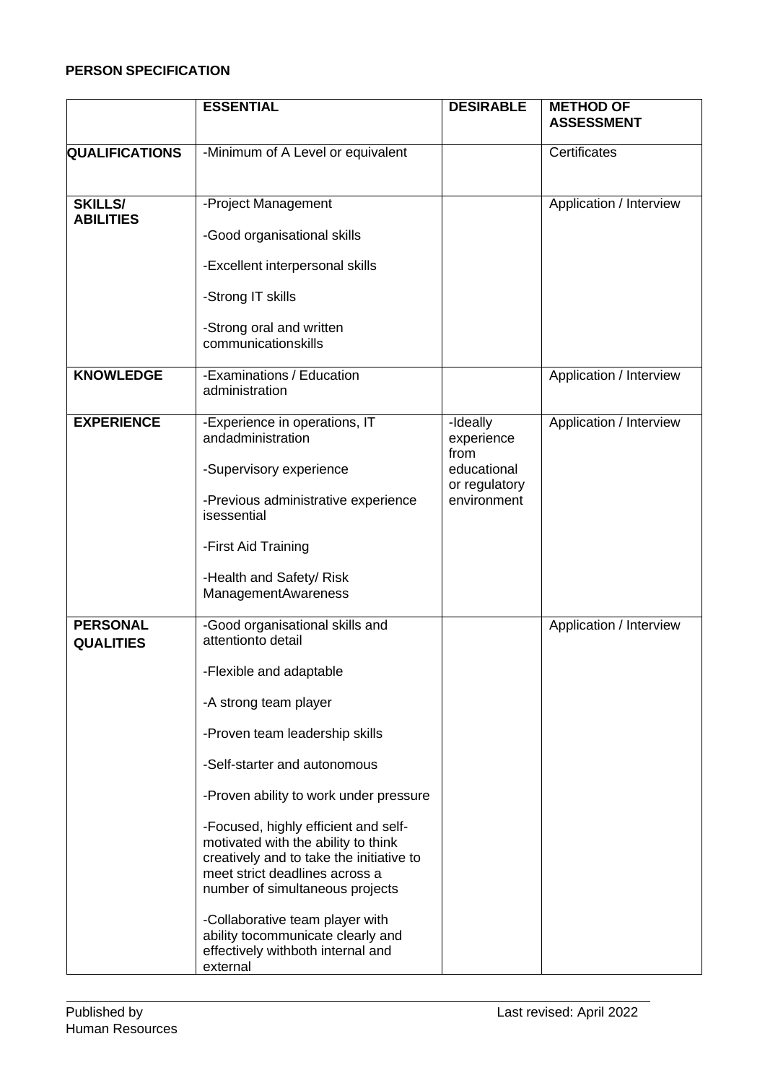# **PERSON SPECIFICATION**

|                                     | <b>ESSENTIAL</b>                                                                                                                                                                             | <b>DESIRABLE</b>             | <b>METHOD OF</b><br><b>ASSESSMENT</b> |
|-------------------------------------|----------------------------------------------------------------------------------------------------------------------------------------------------------------------------------------------|------------------------------|---------------------------------------|
| <b>QUALIFICATIONS</b>               | -Minimum of A Level or equivalent                                                                                                                                                            |                              | Certificates                          |
| <b>SKILLS/</b><br><b>ABILITIES</b>  | -Project Management                                                                                                                                                                          |                              | Application / Interview               |
|                                     | -Good organisational skills                                                                                                                                                                  |                              |                                       |
|                                     | -Excellent interpersonal skills                                                                                                                                                              |                              |                                       |
|                                     | -Strong IT skills                                                                                                                                                                            |                              |                                       |
|                                     | -Strong oral and written<br>communicationskills                                                                                                                                              |                              |                                       |
| <b>KNOWLEDGE</b>                    | -Examinations / Education<br>administration                                                                                                                                                  |                              | Application / Interview               |
| <b>EXPERIENCE</b>                   | -Experience in operations, IT<br>andadministration                                                                                                                                           | -Ideally<br>experience       | Application / Interview               |
|                                     | -Supervisory experience                                                                                                                                                                      | from<br>educational          |                                       |
|                                     | -Previous administrative experience<br>isessential                                                                                                                                           | or regulatory<br>environment |                                       |
|                                     | -First Aid Training                                                                                                                                                                          |                              |                                       |
|                                     | -Health and Safety/ Risk<br><b>ManagementAwareness</b>                                                                                                                                       |                              |                                       |
| <b>PERSONAL</b><br><b>QUALITIES</b> | -Good organisational skills and<br>attentionto detail                                                                                                                                        |                              | Application / Interview               |
|                                     | -Flexible and adaptable                                                                                                                                                                      |                              |                                       |
|                                     | -A strong team player                                                                                                                                                                        |                              |                                       |
|                                     | -Proven team leadership skills                                                                                                                                                               |                              |                                       |
|                                     | -Self-starter and autonomous                                                                                                                                                                 |                              |                                       |
|                                     | -Proven ability to work under pressure                                                                                                                                                       |                              |                                       |
|                                     | -Focused, highly efficient and self-<br>motivated with the ability to think<br>creatively and to take the initiative to<br>meet strict deadlines across a<br>number of simultaneous projects |                              |                                       |
|                                     | -Collaborative team player with<br>ability tocommunicate clearly and<br>effectively withboth internal and<br>external                                                                        |                              |                                       |